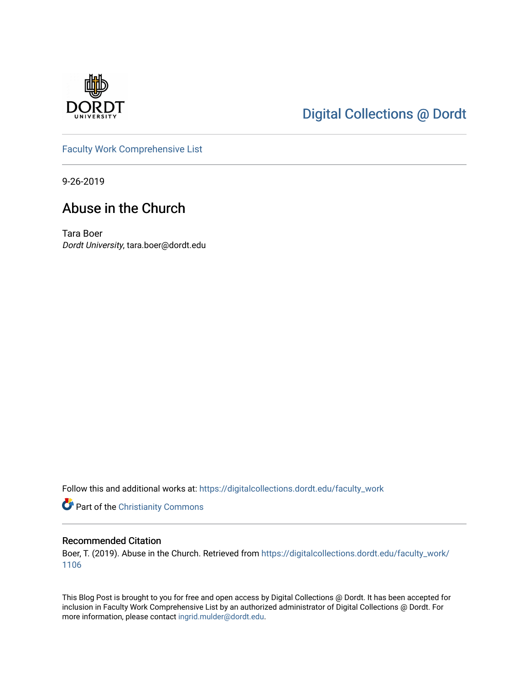

# [Digital Collections @ Dordt](https://digitalcollections.dordt.edu/)

[Faculty Work Comprehensive List](https://digitalcollections.dordt.edu/faculty_work)

9-26-2019

# Abuse in the Church

Tara Boer Dordt University, tara.boer@dordt.edu

Follow this and additional works at: [https://digitalcollections.dordt.edu/faculty\\_work](https://digitalcollections.dordt.edu/faculty_work?utm_source=digitalcollections.dordt.edu%2Ffaculty_work%2F1106&utm_medium=PDF&utm_campaign=PDFCoverPages) 

Part of the [Christianity Commons](http://network.bepress.com/hgg/discipline/1181?utm_source=digitalcollections.dordt.edu%2Ffaculty_work%2F1106&utm_medium=PDF&utm_campaign=PDFCoverPages) 

### Recommended Citation

Boer, T. (2019). Abuse in the Church. Retrieved from [https://digitalcollections.dordt.edu/faculty\\_work/](https://digitalcollections.dordt.edu/faculty_work/1106?utm_source=digitalcollections.dordt.edu%2Ffaculty_work%2F1106&utm_medium=PDF&utm_campaign=PDFCoverPages) [1106](https://digitalcollections.dordt.edu/faculty_work/1106?utm_source=digitalcollections.dordt.edu%2Ffaculty_work%2F1106&utm_medium=PDF&utm_campaign=PDFCoverPages)

This Blog Post is brought to you for free and open access by Digital Collections @ Dordt. It has been accepted for inclusion in Faculty Work Comprehensive List by an authorized administrator of Digital Collections @ Dordt. For more information, please contact [ingrid.mulder@dordt.edu.](mailto:ingrid.mulder@dordt.edu)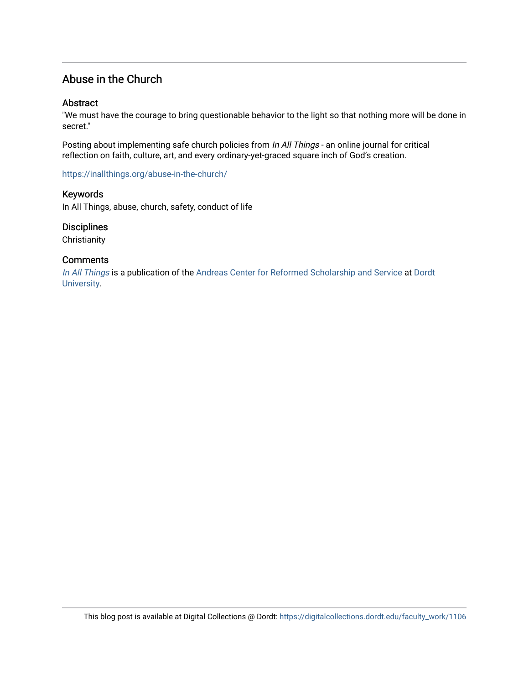### Abuse in the Church

### **Abstract**

"We must have the courage to bring questionable behavior to the light so that nothing more will be done in secret."

Posting about implementing safe church policies from In All Things - an online journal for critical reflection on faith, culture, art, and every ordinary-yet-graced square inch of God's creation.

<https://inallthings.org/abuse-in-the-church/>

Keywords

In All Things, abuse, church, safety, conduct of life

### **Disciplines**

**Christianity** 

### **Comments**

[In All Things](http://inallthings.org/) is a publication of the [Andreas Center for Reformed Scholarship and Service](http://www.dordt.edu/services_support/andreas_center/) at Dordt [University](http://www.dordt.edu/).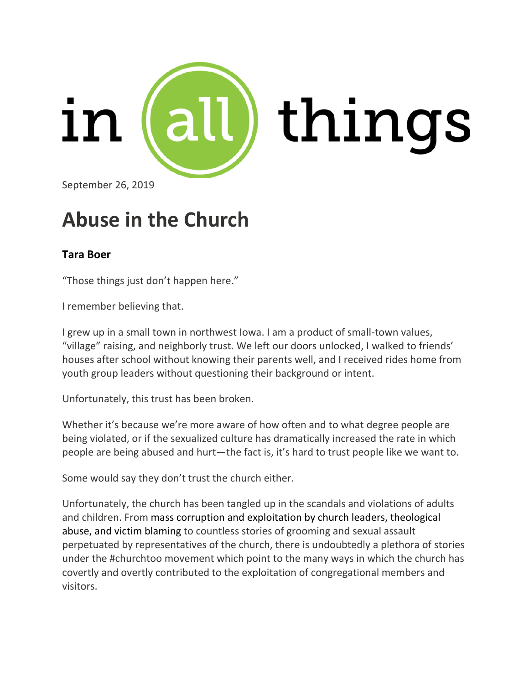

September 26, 2019

# **Abuse in the Church**

# **Tara Boer**

"Those things just don't happen here."

I remember believing that.

I grew up in a small town in northwest Iowa. I am a product of small-town values, "village" raising, and neighborly trust. We left our doors unlocked, I walked to friends' houses after school without knowing their parents well, and I received rides home from youth group leaders without questioning their background or intent.

Unfortunately, this trust has been broken.

Whether it's because we're more aware of how often and to what degree people are being violated, or if the sexualized culture has dramatically increased the rate in which people are being abused and hurt—the fact is, it's hard to trust people like we want to.

Some would say they don't trust the church either.

Unfortunately, the church has been tangled up in the scandals and violations of adults and children. From mass corruption and [exploitation](https://www.houstonchronicle.com/news/investigations/article/Southern-Baptist-sexual-abuse-spreads-as-leaders-13588038.php) by church leaders, [theological](https://twitter.com/ShannonDingle/status/933110283475865600?ref_src=twsrc%5Etfw%7Ctwcamp%5Etweetembed%7Ctwterm%5E933110283475865600&ref_url=https%3A%2F%2Ftime.com%2F5034546%2Fme-too-church-too-sexual-abuse%2F) [abuse,](https://twitter.com/ShannonDingle/status/933110283475865600?ref_src=twsrc%5Etfw%7Ctwcamp%5Etweetembed%7Ctwterm%5E933110283475865600&ref_url=https%3A%2F%2Ftime.com%2F5034546%2Fme-too-church-too-sexual-abuse%2F) and victim [blaming](https://twitter.com/blairezdoodle/status/933140011481931777) to countless stories of grooming and sexual assault perpetuated by representatives of the church, there is undoubtedly a plethora of stories under the #churchtoo movement which point to the many ways in which the church has covertly and overtly contributed to the exploitation of congregational members and visitors.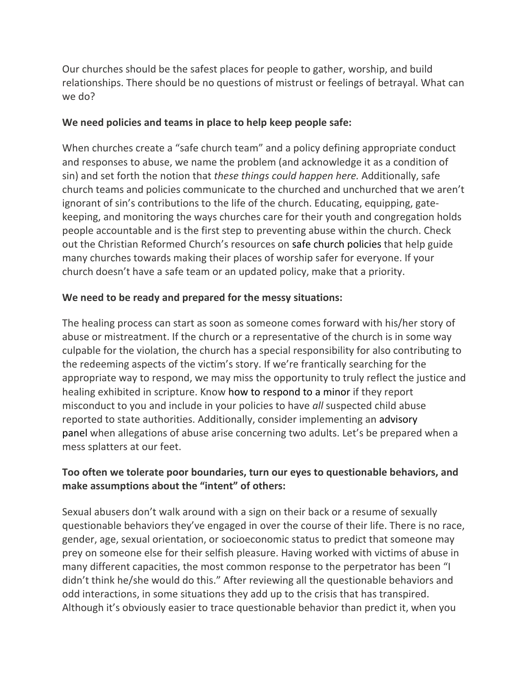Our churches should be the safest places for people to gather, worship, and build relationships. There should be no questions of mistrust or feelings of betrayal. What can we do?

### **We need policies and teams in place to help keep people safe:**

When churches create a "safe church team" and a policy defining appropriate conduct and responses to abuse, we name the problem (and acknowledge it as a condition of sin) and set forth the notion that *these things could happen here.* Additionally, safe church teams and policies communicate to the churched and unchurched that we aren't ignorant of sin's contributions to the life of the church. Educating, equipping, gatekeeping, and monitoring the ways churches care for their youth and congregation holds people accountable and is the first step to preventing abuse within the church. Check out the Christian Reformed Church's resources on safe church [policies](https://www.crcna.org/SafeChurch/safe-church-policy) that help guide many churches towards making their places of worship safer for everyone. If your church doesn't have a safe team or an updated policy, make that a priority.

### **We need to be ready and prepared for the messy situations:**

The healing process can start as soon as someone comes forward with his/her story of abuse or mistreatment. If the church or a representative of the church is in some way culpable for the violation, the church has a special responsibility for also contributing to the redeeming aspects of the victim's story. If we're frantically searching for the appropriate way to respond, we may miss the opportunity to truly reflect the justice and healing exhibited in scripture. Know how to respond to a minor if they report misconduct to you and include in your policies to have *all* suspected child abuse reported to state authorities. Additionally, consider implementing an advisory panel when allegations of abuse arise concerning two adults. Let's be prepared when a mess splatters at our feet.

## **Too often we tolerate poor boundaries, turn our eyes to questionable behaviors, and make assumptions about the "intent" of others:**

Sexual abusers don't walk around with a sign on their back or a resume of sexually questionable behaviors they've engaged in over the course of their life. There is no race, gender, age, sexual orientation, or socioeconomic status to predict that someone may prey on someone else for their selfish pleasure. Having worked with victims of abuse in many different capacities, the most common response to the perpetrator has been "I didn't think he/she would do this." After reviewing all the questionable behaviors and odd interactions, in some situations they add up to the crisis that has transpired. Although it's obviously easier to trace questionable behavior than predict it, when you